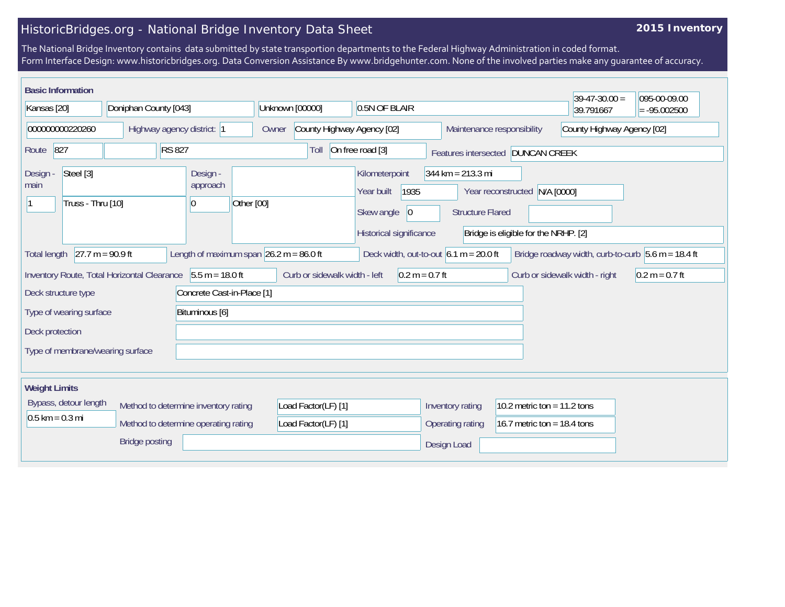## HistoricBridges.org - National Bridge Inventory Data Sheet

## **2015 Inventory**

The National Bridge Inventory contains data submitted by state transportion departments to the Federal Highway Administration in coded format. Form Interface Design: www.historicbridges.org. Data Conversion Assistance By www.bridgehunter.com. None of the involved parties make any guarantee of accuracy.

| <b>Basic Information</b>                                                                                                                                                                   |  |                                            |                               |                                      |                                                                      |                                      | $39-47-30.00 =$            | 095-00-09.00     |  |
|--------------------------------------------------------------------------------------------------------------------------------------------------------------------------------------------|--|--------------------------------------------|-------------------------------|--------------------------------------|----------------------------------------------------------------------|--------------------------------------|----------------------------|------------------|--|
| Kansas [20]<br>Doniphan County [043]                                                                                                                                                       |  |                                            | Unknown [00000]               | 0.5N OF BLAIR                        |                                                                      |                                      |                            | $= -95.002500$   |  |
| 000000000220260<br>Highway agency district: 1                                                                                                                                              |  |                                            | Owner                         | County Highway Agency [02]           |                                                                      | Maintenance responsibility           | County Highway Agency [02] |                  |  |
| 827<br><b>RS 827</b><br>Route                                                                                                                                                              |  |                                            | Toll                          | On free road [3]                     |                                                                      | Features intersected DUNCAN CREEK    |                            |                  |  |
| Steel [3]<br>Design -<br>main                                                                                                                                                              |  | Design -<br>approach                       |                               | Kilometerpoint<br>1935<br>Year built | $344 \text{ km} = 213.3 \text{ mi}$<br>Year reconstructed N/A [0000] |                                      |                            |                  |  |
| Truss - Thru [10]                                                                                                                                                                          |  | Other [00]<br>10                           |                               | Skew angle<br> 0                     | <b>Structure Flared</b>                                              |                                      |                            |                  |  |
|                                                                                                                                                                                            |  |                                            |                               | Historical significance              |                                                                      | Bridge is eligible for the NRHP. [2] |                            |                  |  |
| $27.7 m = 90.9 ft$<br>Length of maximum span $26.2$ m = 86.0 ft<br>Deck width, out-to-out $6.1 m = 20.0 ft$<br>Bridge roadway width, curb-to-curb $5.6$ m = 18.4 ft<br><b>Total length</b> |  |                                            |                               |                                      |                                                                      |                                      |                            |                  |  |
| Inventory Route, Total Horizontal Clearance 5.5 m = 18.0 ft                                                                                                                                |  |                                            | Curb or sidewalk width - left | $0.2 m = 0.7 ft$                     | Curb or sidewalk width - right                                       |                                      |                            | $0.2 m = 0.7 ft$ |  |
| Deck structure type                                                                                                                                                                        |  | Concrete Cast-in-Place [1]                 |                               |                                      |                                                                      |                                      |                            |                  |  |
| Type of wearing surface                                                                                                                                                                    |  | Bituminous [6]                             |                               |                                      |                                                                      |                                      |                            |                  |  |
| Deck protection                                                                                                                                                                            |  |                                            |                               |                                      |                                                                      |                                      |                            |                  |  |
| Type of membrane/wearing surface                                                                                                                                                           |  |                                            |                               |                                      |                                                                      |                                      |                            |                  |  |
| <b>Weight Limits</b>                                                                                                                                                                       |  |                                            |                               |                                      |                                                                      |                                      |                            |                  |  |
| Bypass, detour length<br>Method to determine inventory rating<br>$0.5$ km = 0.3 mi<br>Method to determine operating rating                                                                 |  | Load Factor(LF) [1]<br>Load Factor(LF) [1] |                               | Inventory rating<br>Operating rating | 10.2 metric ton = $11.2$ tons<br>16.7 metric ton = 18.4 tons         |                                      |                            |                  |  |
| <b>Bridge posting</b>                                                                                                                                                                      |  |                                            |                               |                                      | Design Load                                                          |                                      |                            |                  |  |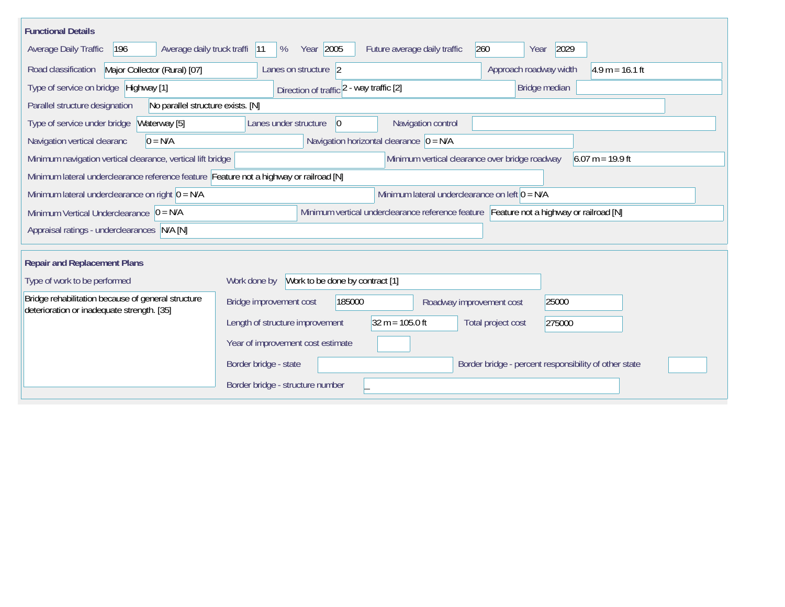| <b>Functional Details</b>                                                                        |                                                                                         |                                                                      |  |  |
|--------------------------------------------------------------------------------------------------|-----------------------------------------------------------------------------------------|----------------------------------------------------------------------|--|--|
| Average daily truck traffi<br>Average Daily Traffic<br>196                                       | Year 2005<br>%<br>Future average daily traffic<br> 11                                   | 260<br>2029<br>Year                                                  |  |  |
| Road classification<br>Major Collector (Rural) [07]                                              | Lanes on structure 2                                                                    | $4.9 m = 16.1 ft$<br>Approach roadway width                          |  |  |
| Type of service on bridge Highway [1]                                                            | Direction of traffic 2 - way traffic [2]                                                | Bridge median                                                        |  |  |
| Parallel structure designation<br>No parallel structure exists. [N]                              |                                                                                         |                                                                      |  |  |
| Type of service under bridge<br>Waterway [5]                                                     | Navigation control<br>$ 0\rangle$<br>Lanes under structure                              |                                                                      |  |  |
| $0 = N/A$<br>Navigation vertical clearanc                                                        | Navigation horizontal clearance $\overline{0}$ = N/A                                    |                                                                      |  |  |
| Minimum navigation vertical clearance, vertical lift bridge                                      |                                                                                         | Minimum vertical clearance over bridge roadway<br>$6.07 m = 19.9 ft$ |  |  |
| Minimum lateral underclearance reference feature Feature not a highway or railroad [N]           |                                                                                         |                                                                      |  |  |
| Minimum lateral underclearance on right $0 = N/A$                                                | Minimum lateral underclearance on left $0 = N/A$                                        |                                                                      |  |  |
| Minimum Vertical Underclearance $ 0 = N/A$                                                       | Minimum vertical underclearance reference feature Feature not a highway or railroad [N] |                                                                      |  |  |
| Appraisal ratings - underclearances N/A [N]                                                      |                                                                                         |                                                                      |  |  |
|                                                                                                  |                                                                                         |                                                                      |  |  |
| <b>Repair and Replacement Plans</b>                                                              |                                                                                         |                                                                      |  |  |
| Type of work to be performed                                                                     | Work to be done by contract [1]<br>Work done by                                         |                                                                      |  |  |
| Bridge rehabilitation because of general structure<br>deterioration or inadequate strength. [35] | Bridge improvement cost<br>185000                                                       | 25000<br>Roadway improvement cost                                    |  |  |
|                                                                                                  | $32 m = 105.0 ft$<br>Length of structure improvement                                    | Total project cost<br>275000                                         |  |  |
|                                                                                                  | Year of improvement cost estimate                                                       |                                                                      |  |  |
|                                                                                                  | Border bridge - state                                                                   | Border bridge - percent responsibility of other state                |  |  |
|                                                                                                  | Border bridge - structure number                                                        |                                                                      |  |  |